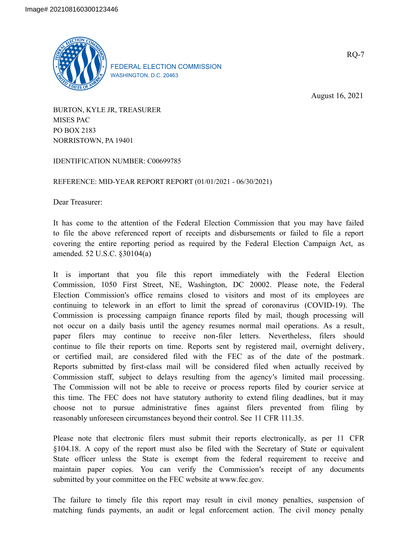

FEDERAL ELECTION COMMISSION WASHINGTON, D.C. 20463

August 16, 2021

RQ-7

BURTON, KYLE JR, TREASURER MISES PAC PO BOX 2183 NORRISTOWN, PA 19401

IDENTIFICATION NUMBER: C00699785

REFERENCE: MID-YEAR REPORT REPORT (01/01/2021 - 06/30/2021)

Dear Treasurer:

It has come to the attention of the Federal Election Commission that you may have failed to file the above referenced report of receipts and disbursements or failed to file a report covering the entire reporting period as required by the Federal Election Campaign Act, as amended. 52 U.S.C. §30104(a)

It is important that you file this report immediately with the Federal Election Commission, 1050 First Street, NE, Washington, DC 20002. Please note, the Federal Election Commission's office remains closed to visitors and most of its employees are continuing to telework in an effort to limit the spread of coronavirus (COVID-19). The Commission is processing campaign finance reports filed by mail, though processing will not occur on a daily basis until the agency resumes normal mail operations. As a result, paper filers may continue to receive non-filer letters. Nevertheless, filers should continue to file their reports on time. Reports sent by registered mail, overnight delivery, or certified mail, are considered filed with the FEC as of the date of the postmark. Reports submitted by first-class mail will be considered filed when actually received by Commission staff, subject to delays resulting from the agency's limited mail processing. The Commission will not be able to receive or process reports filed by courier service at this time. The FEC does not have statutory authority to extend filing deadlines, but it may choose not to pursue administrative fines against filers prevented from filing by reasonably unforeseen circumstances beyond their control. See 11 CFR 111.35.

Please note that electronic filers must submit their reports electronically, as per 11 CFR §104.18. A copy of the report must also be filed with the Secretary of State or equivalent State officer unless the State is exempt from the federal requirement to receive and maintain paper copies. You can verify the Commission's receipt of any documents submitted by your committee on the FEC website at www.fec.gov.

The failure to timely file this report may result in civil money penalties, suspension of matching funds payments, an audit or legal enforcement action. The civil money penalty